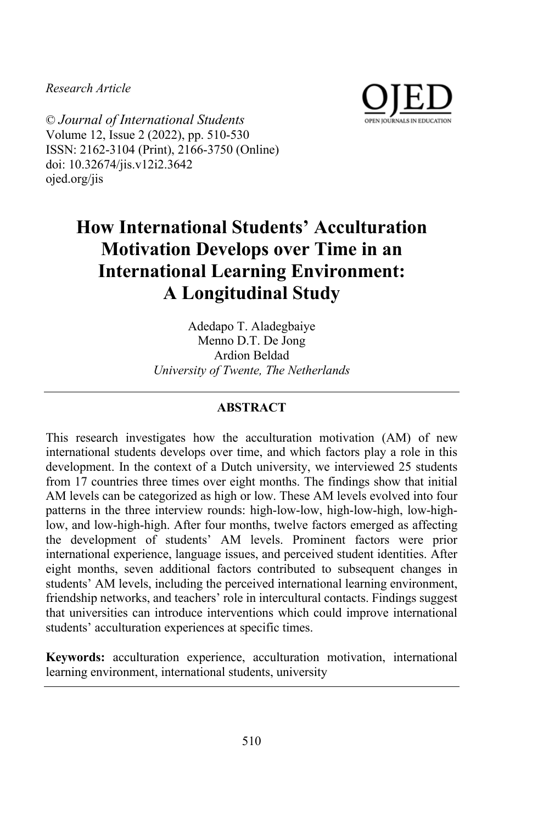*Research Article*



© *Journal of International Students* Volume 12, Issue 2 (2022), pp. 510-530 ISSN: 2162-3104 (Print), 2166-3750 (Online) doi: 10.32674/jis.v12i2.3642 ojed.org/jis

# **How International Students' Acculturation Motivation Develops over Time in an International Learning Environment: A Longitudinal Study**

Adedapo T. Aladegbaiye Menno D.T. De Jong Ardion Beldad *University of Twente, The Netherlands*

## **ABSTRACT**

This research investigates how the acculturation motivation (AM) of new international students develops over time, and which factors play a role in this development. In the context of a Dutch university, we interviewed 25 students from 17 countries three times over eight months. The findings show that initial AM levels can be categorized as high or low. These AM levels evolved into four patterns in the three interview rounds: high-low-low, high-low-high, low-highlow, and low-high-high. After four months, twelve factors emerged as affecting the development of students' AM levels. Prominent factors were prior international experience, language issues, and perceived student identities. After eight months, seven additional factors contributed to subsequent changes in students' AM levels, including the perceived international learning environment, friendship networks, and teachers' role in intercultural contacts. Findings suggest that universities can introduce interventions which could improve international students' acculturation experiences at specific times.

**Keywords:** acculturation experience, acculturation motivation, international learning environment, international students, university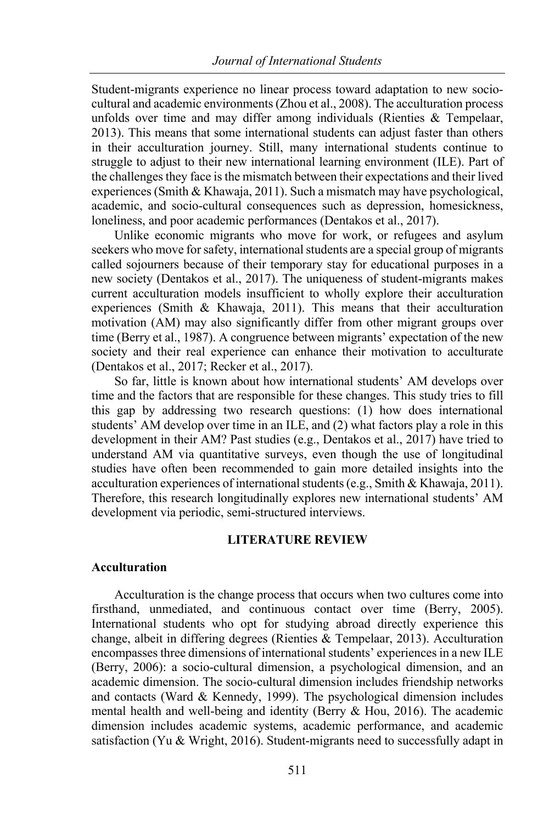Student-migrants experience no linear process toward adaptation to new sociocultural and academic environments (Zhou et al., 2008). The acculturation process unfolds over time and may differ among individuals (Rienties & Tempelaar, 2013). This means that some international students can adjust faster than others in their acculturation journey. Still, many international students continue to struggle to adjust to their new international learning environment (ILE). Part of the challenges they face is the mismatch between their expectations and their lived experiences (Smith & Khawaja, 2011). Such a mismatch may have psychological, academic, and socio-cultural consequences such as depression, homesickness, loneliness, and poor academic performances (Dentakos et al., 2017).

Unlike economic migrants who move for work, or refugees and asylum seekers who move for safety, international students are a special group of migrants called sojourners because of their temporary stay for educational purposes in a new society (Dentakos et al., 2017). The uniqueness of student-migrants makes current acculturation models insufficient to wholly explore their acculturation experiences (Smith & Khawaja, 2011). This means that their acculturation motivation (AM) may also significantly differ from other migrant groups over time (Berry et al., 1987). A congruence between migrants' expectation of the new society and their real experience can enhance their motivation to acculturate (Dentakos et al., 2017; Recker et al., 2017).

So far, little is known about how international students' AM develops over time and the factors that are responsible for these changes. This study tries to fill this gap by addressing two research questions: (1) how does international students' AM develop over time in an ILE, and (2) what factors play a role in this development in their AM? Past studies (e.g., Dentakos et al., 2017) have tried to understand AM via quantitative surveys, even though the use of longitudinal studies have often been recommended to gain more detailed insights into the acculturation experiences of international students (e.g., Smith & Khawaja, 2011). Therefore, this research longitudinally explores new international students' AM development via periodic, semi-structured interviews.

## **LITERATURE REVIEW**

## **Acculturation**

Acculturation is the change process that occurs when two cultures come into firsthand, unmediated, and continuous contact over time (Berry, 2005). International students who opt for studying abroad directly experience this change, albeit in differing degrees (Rienties & Tempelaar, 2013). Acculturation encompasses three dimensions of international students' experiences in a new ILE (Berry, 2006): a socio-cultural dimension, a psychological dimension, and an academic dimension. The socio-cultural dimension includes friendship networks and contacts (Ward & Kennedy, 1999). The psychological dimension includes mental health and well-being and identity (Berry & Hou, 2016). The academic dimension includes academic systems, academic performance, and academic satisfaction (Yu & Wright, 2016). Student-migrants need to successfully adapt in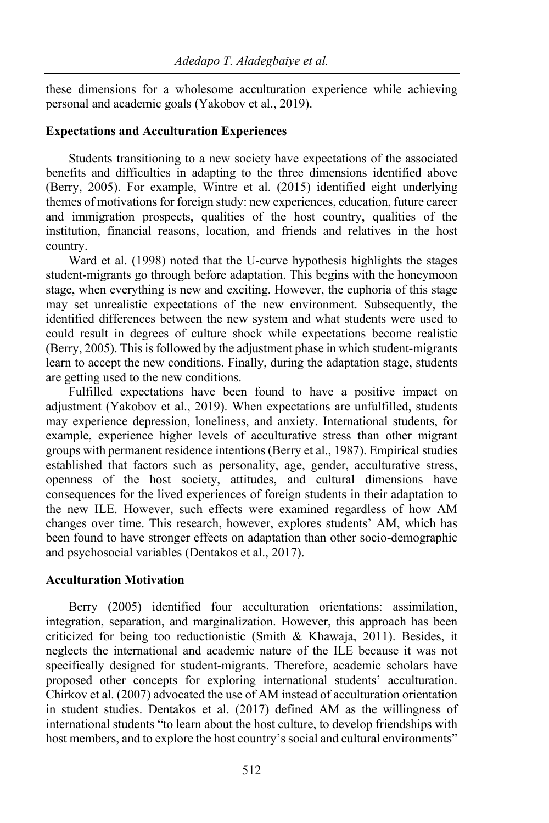these dimensions for a wholesome acculturation experience while achieving personal and academic goals (Yakobov et al., 2019).

## **Expectations and Acculturation Experiences**

Students transitioning to a new society have expectations of the associated benefits and difficulties in adapting to the three dimensions identified above (Berry, 2005). For example, Wintre et al. (2015) identified eight underlying themes of motivations for foreign study: new experiences, education, future career and immigration prospects, qualities of the host country, qualities of the institution, financial reasons, location, and friends and relatives in the host country.

Ward et al. (1998) noted that the U-curve hypothesis highlights the stages student-migrants go through before adaptation. This begins with the honeymoon stage, when everything is new and exciting. However, the euphoria of this stage may set unrealistic expectations of the new environment. Subsequently, the identified differences between the new system and what students were used to could result in degrees of culture shock while expectations become realistic (Berry, 2005). This is followed by the adjustment phase in which student-migrants learn to accept the new conditions. Finally, during the adaptation stage, students are getting used to the new conditions.

Fulfilled expectations have been found to have a positive impact on adjustment (Yakobov et al., 2019). When expectations are unfulfilled, students may experience depression, loneliness, and anxiety. International students, for example, experience higher levels of acculturative stress than other migrant groups with permanent residence intentions (Berry et al., 1987). Empirical studies established that factors such as personality, age, gender, acculturative stress, openness of the host society, attitudes, and cultural dimensions have consequences for the lived experiences of foreign students in their adaptation to the new ILE. However, such effects were examined regardless of how AM changes over time. This research, however, explores students' AM, which has been found to have stronger effects on adaptation than other socio-demographic and psychosocial variables (Dentakos et al., 2017).

## **Acculturation Motivation**

Berry (2005) identified four acculturation orientations: assimilation, integration, separation, and marginalization. However, this approach has been criticized for being too reductionistic (Smith & Khawaja, 2011). Besides, it neglects the international and academic nature of the ILE because it was not specifically designed for student-migrants. Therefore, academic scholars have proposed other concepts for exploring international students' acculturation. Chirkov et al. (2007) advocated the use of AM instead of acculturation orientation in student studies. Dentakos et al. (2017) defined AM as the willingness of international students "to learn about the host culture, to develop friendships with host members, and to explore the host country's social and cultural environments"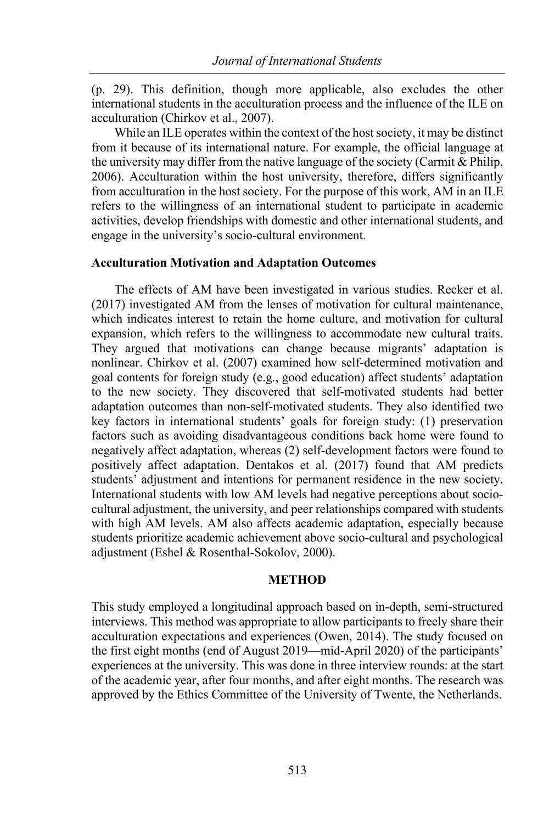(p. 29). This definition, though more applicable, also excludes the other international students in the acculturation process and the influence of the ILE on acculturation (Chirkov et al., 2007).

While an ILE operates within the context of the host society, it may be distinct from it because of its international nature. For example, the official language at the university may differ from the native language of the society (Carmit & Philip, 2006). Acculturation within the host university, therefore, differs significantly from acculturation in the host society. For the purpose of this work, AM in an ILE refers to the willingness of an international student to participate in academic activities, develop friendships with domestic and other international students, and engage in the university's socio-cultural environment.

#### **Acculturation Motivation and Adaptation Outcomes**

The effects of AM have been investigated in various studies. Recker et al. (2017) investigated AM from the lenses of motivation for cultural maintenance, which indicates interest to retain the home culture, and motivation for cultural expansion, which refers to the willingness to accommodate new cultural traits. They argued that motivations can change because migrants' adaptation is nonlinear. Chirkov et al. (2007) examined how self-determined motivation and goal contents for foreign study (e.g., good education) affect students' adaptation to the new society. They discovered that self-motivated students had better adaptation outcomes than non-self-motivated students. They also identified two key factors in international students' goals for foreign study: (1) preservation factors such as avoiding disadvantageous conditions back home were found to negatively affect adaptation, whereas (2) self-development factors were found to positively affect adaptation. Dentakos et al. (2017) found that AM predicts students' adjustment and intentions for permanent residence in the new society. International students with low AM levels had negative perceptions about sociocultural adjustment, the university, and peer relationships compared with students with high AM levels. AM also affects academic adaptation, especially because students prioritize academic achievement above socio-cultural and psychological adjustment (Eshel & Rosenthal-Sokolov, 2000).

## **METHOD**

This study employed a longitudinal approach based on in-depth, semi-structured interviews. This method was appropriate to allow participants to freely share their acculturation expectations and experiences (Owen, 2014). The study focused on the first eight months (end of August 2019—mid-April 2020) of the participants' experiences at the university. This was done in three interview rounds: at the start of the academic year, after four months, and after eight months. The research was approved by the Ethics Committee of the University of Twente, the Netherlands.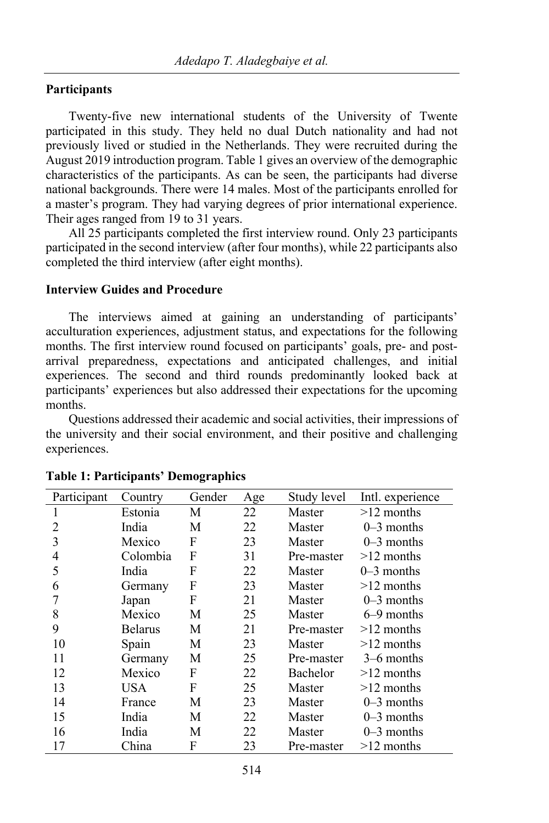## **Participants**

Twenty-five new international students of the University of Twente participated in this study. They held no dual Dutch nationality and had not previously lived or studied in the Netherlands. They were recruited during the August 2019 introduction program. Table 1 gives an overview of the demographic characteristics of the participants. As can be seen, the participants had diverse national backgrounds. There were 14 males. Most of the participants enrolled for a master's program. They had varying degrees of prior international experience. Their ages ranged from 19 to 31 years.

All 25 participants completed the first interview round. Only 23 participants participated in the second interview (after four months), while 22 participants also completed the third interview (after eight months).

## **Interview Guides and Procedure**

The interviews aimed at gaining an understanding of participants' acculturation experiences, adjustment status, and expectations for the following months. The first interview round focused on participants' goals, pre- and postarrival preparedness, expectations and anticipated challenges, and initial experiences. The second and third rounds predominantly looked back at participants' experiences but also addressed their expectations for the upcoming months.

Questions addressed their academic and social activities, their impressions of the university and their social environment, and their positive and challenging experiences.

| Participant | Country        | Gender | Age | Study level | Intl. experience |  |  |  |  |  |
|-------------|----------------|--------|-----|-------------|------------------|--|--|--|--|--|
| 1           | Estonia        | М      | 22  | Master      | $>12$ months     |  |  |  |  |  |
| 2           | India          | М      | 22  | Master      | $0-3$ months     |  |  |  |  |  |
| 3           | Mexico         | F      | 23  | Master      | $0-3$ months     |  |  |  |  |  |
| 4           | Colombia       | F      | 31  | Pre-master  | $>12$ months     |  |  |  |  |  |
| 5           | India          | F      | 22  | Master      | $0-3$ months     |  |  |  |  |  |
| 6           | Germany        | F      | 23  | Master      | $>12$ months     |  |  |  |  |  |
|             | Japan          | F      | 21  | Master      | $0-3$ months     |  |  |  |  |  |
| 8           | Mexico         | М      | 25  | Master      | 6–9 months       |  |  |  |  |  |
| 9           | <b>Belarus</b> | М      | 21  | Pre-master  | $>12$ months     |  |  |  |  |  |
| 10          | Spain          | М      | 23  | Master      | $>12$ months     |  |  |  |  |  |
| 11          | Germany        | М      | 25  | Pre-master  | $3-6$ months     |  |  |  |  |  |
| 12          | Mexico         | F      | 22  | Bachelor    | $>12$ months     |  |  |  |  |  |
| 13          | USA            | F      | 25  | Master      | $>12$ months     |  |  |  |  |  |
| 14          | France         | M      | 23  | Master      | $0-3$ months     |  |  |  |  |  |
| 15          | India          | M      | 22  | Master      | $0-3$ months     |  |  |  |  |  |
| 16          | India          | M      | 22  | Master      | $0-3$ months     |  |  |  |  |  |
| 17          | China          | F      | 23  | Pre-master  | $>12$ months     |  |  |  |  |  |

## **Table 1: Participants' Demographics**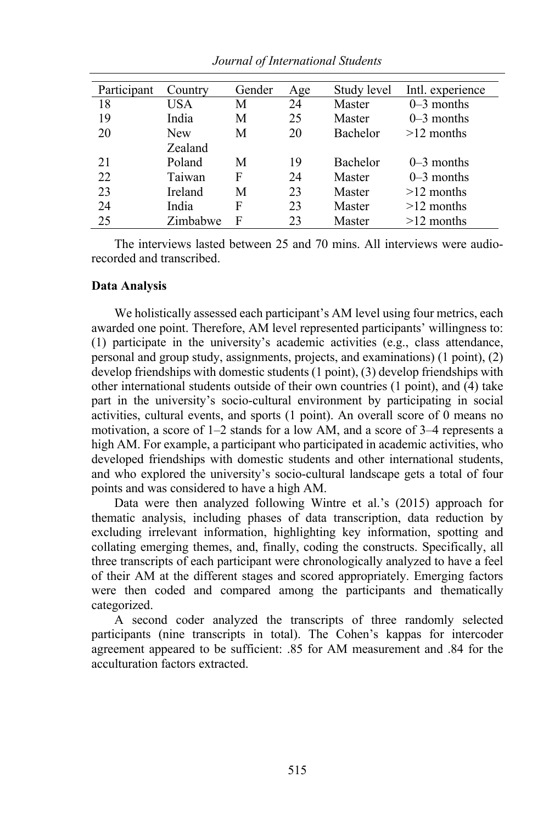| Participant | Country    | Gender | Age | Study level     | Intl. experience |  |  |  |  |
|-------------|------------|--------|-----|-----------------|------------------|--|--|--|--|
| 18          | USA        | M      | 24  | Master          | $0-3$ months     |  |  |  |  |
| 19          | India      | M      | 25  | Master          | $0-3$ months     |  |  |  |  |
| 20          | <b>New</b> | М      | 20  | <b>Bachelor</b> | $>12$ months     |  |  |  |  |
|             | Zealand    |        |     |                 |                  |  |  |  |  |
| 21          | Poland     | М      | 19  | Bachelor        | $0-3$ months     |  |  |  |  |
| 22          | Taiwan     | F      | 24  | Master          | $0-3$ months     |  |  |  |  |
| 23          | Ireland    | М      | 23  | Master          | $>12$ months     |  |  |  |  |
| 24          | India      | F      | 23  | Master          | $>12$ months     |  |  |  |  |
| 25          | Zimbabwe   | F      | 23  | Master          | $>12$ months     |  |  |  |  |

*Journal of International Students*

The interviews lasted between 25 and 70 mins. All interviews were audiorecorded and transcribed.

## **Data Analysis**

We holistically assessed each participant's AM level using four metrics, each awarded one point. Therefore, AM level represented participants' willingness to: (1) participate in the university's academic activities (e.g., class attendance, personal and group study, assignments, projects, and examinations) (1 point), (2) develop friendships with domestic students (1 point), (3) develop friendships with other international students outside of their own countries (1 point), and (4) take part in the university's socio-cultural environment by participating in social activities, cultural events, and sports (1 point). An overall score of 0 means no motivation, a score of 1–2 stands for a low AM, and a score of 3–4 represents a high AM. For example, a participant who participated in academic activities, who developed friendships with domestic students and other international students, and who explored the university's socio-cultural landscape gets a total of four points and was considered to have a high AM.

Data were then analyzed following Wintre et al.'s (2015) approach for thematic analysis, including phases of data transcription, data reduction by excluding irrelevant information, highlighting key information, spotting and collating emerging themes, and, finally, coding the constructs. Specifically, all three transcripts of each participant were chronologically analyzed to have a feel of their AM at the different stages and scored appropriately. Emerging factors were then coded and compared among the participants and thematically categorized.

A second coder analyzed the transcripts of three randomly selected participants (nine transcripts in total). The Cohen's kappas for intercoder agreement appeared to be sufficient: .85 for AM measurement and .84 for the acculturation factors extracted.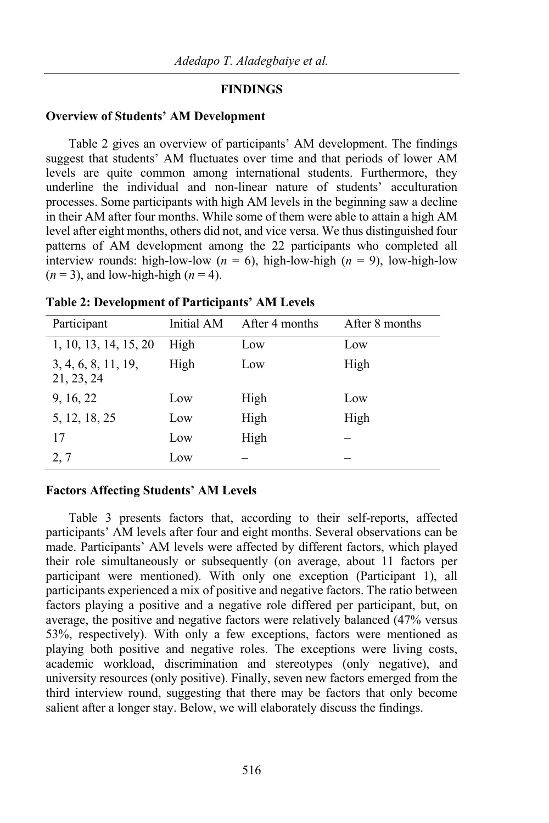## **FINDINGS**

## **Overview of Students' AM Development**

Table 2 gives an overview of participants' AM development. The findings suggest that students' AM fluctuates over time and that periods of lower AM levels are quite common among international students. Furthermore, they underline the individual and non-linear nature of students' acculturation processes. Some participants with high AM levels in the beginning saw a decline in their AM after four months. While some of them were able to attain a high AM level after eight months, others did not, and vice versa. We thus distinguished four patterns of AM development among the 22 participants who completed all interview rounds: high-low-low ( $n = 6$ ), high-low-high ( $n = 9$ ), low-high-low  $(n = 3)$ , and low-high-high  $(n = 4)$ .

| Participant                       | Initial AM | After 4 months | After 8 months |  |  |  |  |  |  |
|-----------------------------------|------------|----------------|----------------|--|--|--|--|--|--|
| 1, 10, 13, 14, 15, 20             | High       | Low            | Low            |  |  |  |  |  |  |
| 3, 4, 6, 8, 11, 19,<br>21, 23, 24 | High       | Low            | High           |  |  |  |  |  |  |
| 9, 16, 22                         | Low        | High           | Low            |  |  |  |  |  |  |
| 5, 12, 18, 25                     | Low        | High           | High           |  |  |  |  |  |  |
| 17                                | Low        | High           |                |  |  |  |  |  |  |
| 2, 7                              | Low        |                |                |  |  |  |  |  |  |

**Table 2: Development of Participants' AM Levels**

#### **Factors Affecting Students' AM Levels**

Table 3 presents factors that, according to their self-reports, affected participants' AM levels after four and eight months. Several observations can be made. Participants' AM levels were affected by different factors, which played their role simultaneously or subsequently (on average, about 11 factors per participant were mentioned). With only one exception (Participant 1), all participants experienced a mix of positive and negative factors. The ratio between factors playing a positive and a negative role differed per participant, but, on average, the positive and negative factors were relatively balanced (47% versus 53%, respectively). With only a few exceptions, factors were mentioned as playing both positive and negative roles. The exceptions were living costs, academic workload, discrimination and stereotypes (only negative), and university resources (only positive). Finally, seven new factors emerged from the third interview round, suggesting that there may be factors that only become salient after a longer stay. Below, we will elaborately discuss the findings.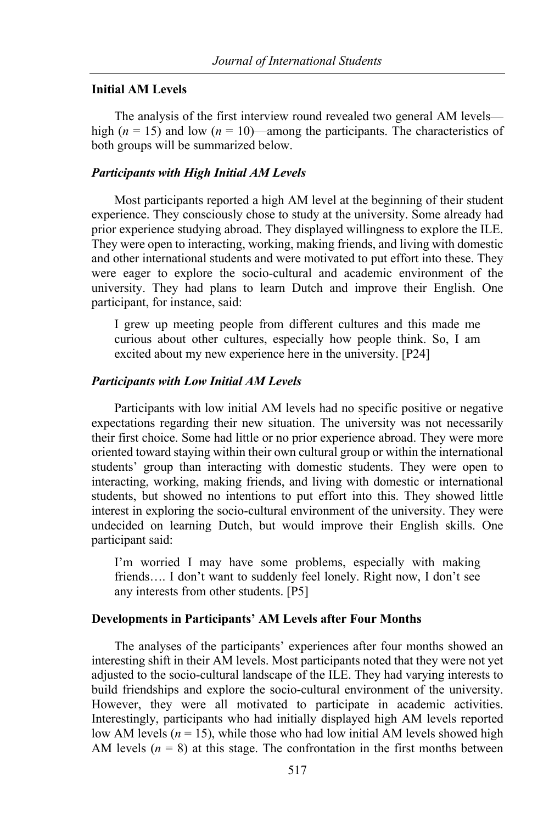## **Initial AM Levels**

The analysis of the first interview round revealed two general AM levels high ( $n = 15$ ) and low ( $n = 10$ )—among the participants. The characteristics of both groups will be summarized below.

## *Participants with High Initial AM Levels*

Most participants reported a high AM level at the beginning of their student experience. They consciously chose to study at the university. Some already had prior experience studying abroad. They displayed willingness to explore the ILE. They were open to interacting, working, making friends, and living with domestic and other international students and were motivated to put effort into these. They were eager to explore the socio-cultural and academic environment of the university. They had plans to learn Dutch and improve their English. One participant, for instance, said:

I grew up meeting people from different cultures and this made me curious about other cultures, especially how people think. So, I am excited about my new experience here in the university. [P24]

#### *Participants with Low Initial AM Levels*

Participants with low initial AM levels had no specific positive or negative expectations regarding their new situation. The university was not necessarily their first choice. Some had little or no prior experience abroad. They were more oriented toward staying within their own cultural group or within the international students' group than interacting with domestic students. They were open to interacting, working, making friends, and living with domestic or international students, but showed no intentions to put effort into this. They showed little interest in exploring the socio-cultural environment of the university. They were undecided on learning Dutch, but would improve their English skills. One participant said:

I'm worried I may have some problems, especially with making friends…. I don't want to suddenly feel lonely. Right now, I don't see any interests from other students. [P5]

## **Developments in Participants' AM Levels after Four Months**

The analyses of the participants' experiences after four months showed an interesting shift in their AM levels. Most participants noted that they were not yet adjusted to the socio-cultural landscape of the ILE. They had varying interests to build friendships and explore the socio-cultural environment of the university. However, they were all motivated to participate in academic activities. Interestingly, participants who had initially displayed high AM levels reported low AM levels ( $n = 15$ ), while those who had low initial AM levels showed high AM levels  $(n = 8)$  at this stage. The confrontation in the first months between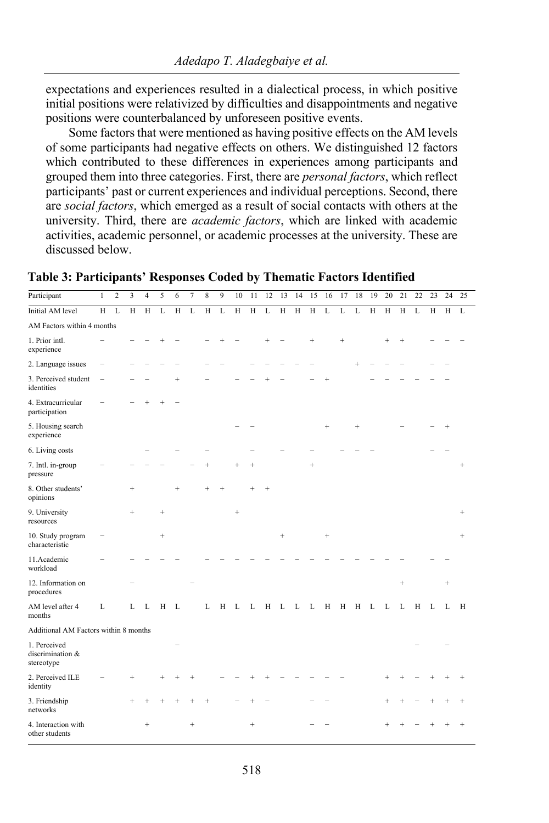expectations and experiences resulted in a dialectical process, in which positive initial positions were relativized by difficulties and disappointments and negative positions were counterbalanced by unforeseen positive events.

Some factors that were mentioned as having positive effects on the AM levels of some participants had negative effects on others. We distinguished 12 factors which contributed to these differences in experiences among participants and grouped them into three categories. First, there are *personal factors*, which reflect participants' past or current experiences and individual perceptions. Second, there are *social factors*, which emerged as a result of social contacts with others at the university. Third, there are *academic factors*, which are linked with academic activities, academic personnel, or academic processes at the university. These are discussed below.

| Participant                                    | $\mathbf{1}$   | $\overline{c}$ | 3         | $\overline{4}$ | 5                 | 6              | 7      | 8         | 9 | 10     | 11        | 12 | 13     | 14 | 15        | 16        | 17        | 18     | 19 | 20  | 21        | 22 | 23 | 24     | 25     |
|------------------------------------------------|----------------|----------------|-----------|----------------|-------------------|----------------|--------|-----------|---|--------|-----------|----|--------|----|-----------|-----------|-----------|--------|----|-----|-----------|----|----|--------|--------|
| Initial AM level                               | $\overline{H}$ | L              | H         | H              | L                 | $\overline{H}$ | L      | H         | L | H      | H         | L  | H      | H  | H         | L         | L         | L      | H  | H   | H         | L  | H  | H      | L      |
| AM Factors within 4 months                     |                |                |           |                |                   |                |        |           |   |        |           |    |        |    |           |           |           |        |    |     |           |    |    |        |        |
| 1. Prior intl.<br>experience                   |                |                |           |                |                   |                |        |           |   |        |           |    |        |    | $\ddot{}$ |           | $\ddot{}$ |        |    | $+$ | $^{+}$    |    |    |        |        |
| 2. Language issues                             |                |                |           |                |                   |                |        |           |   |        |           |    |        |    |           |           |           | $^{+}$ |    |     |           |    |    |        |        |
| 3. Perceived student<br>identities             |                |                |           |                |                   | $\ddot{}$      |        |           |   |        |           |    |        |    |           |           |           |        |    |     |           |    |    |        |        |
| 4. Extracurricular<br>participation            |                |                |           |                |                   |                |        |           |   |        |           |    |        |    |           |           |           |        |    |     |           |    |    |        |        |
| 5. Housing search<br>experience                |                |                |           |                |                   |                |        |           |   |        |           |    |        |    |           | $\ddot{}$ |           | $^{+}$ |    |     |           |    |    |        |        |
| 6. Living costs                                |                |                |           |                |                   |                |        |           |   |        |           |    |        |    |           |           |           |        |    |     |           |    |    |        |        |
| 7. Intl. in-group<br>pressure                  |                |                |           |                |                   |                |        | $\ddot{}$ |   |        | $^{+}$    |    |        |    | $^{+}$    |           |           |        |    |     |           |    |    |        | $^{+}$ |
| 8. Other students'<br>opinions                 |                |                | $\ddot{}$ |                |                   | $\ddot{}$      |        | $\ddot{}$ |   |        | $\ddot{}$ |    |        |    |           |           |           |        |    |     |           |    |    |        |        |
| 9. University<br>resources                     |                |                | $^{+}$    |                | $^{+}$            |                |        |           |   | $^{+}$ |           |    |        |    |           |           |           |        |    |     |           |    |    |        | $^{+}$ |
| 10. Study program<br>characteristic            |                |                |           |                | $\qquad \qquad +$ |                |        |           |   |        |           |    | $^{+}$ |    |           | $^{+}$    |           |        |    |     |           |    |    |        | $+$    |
| 11.Academic<br>workload                        |                |                |           |                |                   |                |        |           |   |        |           |    |        |    |           |           |           |        |    |     |           |    |    |        |        |
| 12. Information on<br>procedures               |                |                |           |                |                   |                |        |           |   |        |           |    |        |    |           |           |           |        |    |     | $\ddot{}$ |    |    | $^{+}$ |        |
| AM level after 4<br>months                     | $\mathbf{L}$   |                | L         | L              | H                 | L              |        | L         | Н | L      | L         | Н  | L      | L  | L         | H         | H         | H      | L  | L   | L         | H  | L  | L      | H      |
| Additional AM Factors within 8 months          |                |                |           |                |                   |                |        |           |   |        |           |    |        |    |           |           |           |        |    |     |           |    |    |        |        |
| 1. Perceived<br>discrimination &<br>stereotype |                |                |           |                |                   |                |        |           |   |        |           |    |        |    |           |           |           |        |    |     |           |    |    |        |        |
| 2. Perceived ILE<br>identity                   |                |                | $\ddot{}$ |                |                   |                |        |           |   |        |           |    |        |    |           |           |           |        |    |     |           |    |    |        |        |
| 3. Friendship<br>networks                      |                |                | $\ddot{}$ |                |                   |                | $^{+}$ | $\ddot{}$ |   |        |           |    |        |    |           |           |           |        |    |     |           |    |    |        |        |
| 4. Interaction with<br>other students          |                |                |           | $+$            |                   |                | $^{+}$ |           |   |        | $+$       |    |        |    |           |           |           |        |    |     |           |    |    |        |        |

**Table 3: Participants' Responses Coded by Thematic Factors Identified**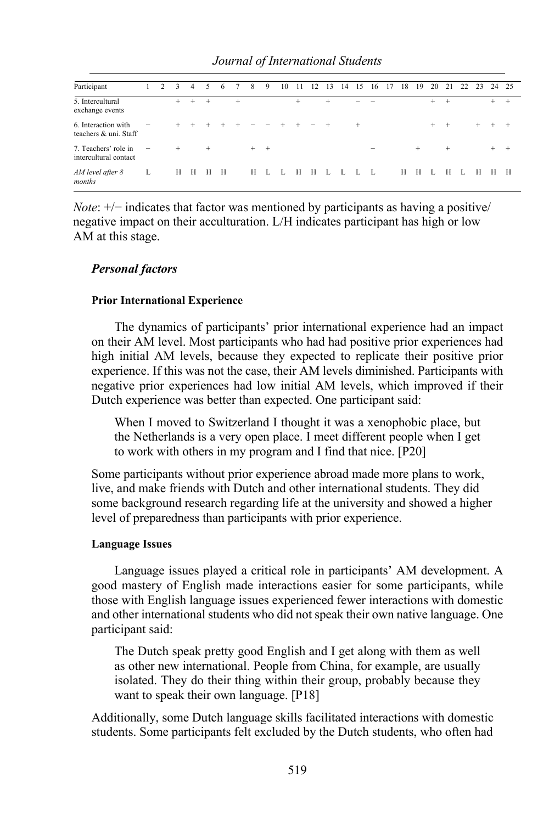| Participant                                   |                   | 2 | 3      | 4   | 5    | 6 |   | 8       | 9 | 10 | 11   | 12 | 13     | 14 | 15  | 16                       | 17 | 18 | 19  | 20  | 21     | 22 | 23  |     | 24 25 |
|-----------------------------------------------|-------------------|---|--------|-----|------|---|---|---------|---|----|------|----|--------|----|-----|--------------------------|----|----|-----|-----|--------|----|-----|-----|-------|
| 5. Intercultural<br>exchange events           |                   |   | $+$    | $+$ | $^+$ |   | + |         |   |    | $^+$ |    | $\div$ |    |     |                          |    |    |     | $+$ | $^{+}$ |    |     | $+$ | $+$   |
| 6. Interaction with<br>teachers & uni. Staff  | $\equiv$          |   | $+$    | $+$ | $^+$ |   |   |         |   |    |      |    |        |    | $+$ |                          |    |    |     | $+$ | $+$    |    | $+$ |     |       |
| 7. Teachers' role in<br>intercultural contact | $\qquad \qquad -$ |   | $^{+}$ |     | $+$  |   |   | $+$ $+$ |   |    |      |    |        |    |     | $\overline{\phantom{0}}$ |    |    | $+$ |     | $^{+}$ |    |     | $+$ | $\pm$ |
| AM level after 8<br>months                    | L                 |   | H      | H   | H    | H |   | H       | L | L  | H    | H  | L L    |    |     | - L                      |    | Н  | H   | L   | H      | L  | H   | H   | H     |

*Note*:  $+/-$  indicates that factor was mentioned by participants as having a positive/ negative impact on their acculturation. L/H indicates participant has high or low AM at this stage.

## *Personal factors*

## **Prior International Experience**

The dynamics of participants' prior international experience had an impact on their AM level. Most participants who had had positive prior experiences had high initial AM levels, because they expected to replicate their positive prior experience. If this was not the case, their AM levels diminished. Participants with negative prior experiences had low initial AM levels, which improved if their Dutch experience was better than expected. One participant said:

When I moved to Switzerland I thought it was a xenophobic place, but the Netherlands is a very open place. I meet different people when I get to work with others in my program and I find that nice. [P20]

Some participants without prior experience abroad made more plans to work, live, and make friends with Dutch and other international students. They did some background research regarding life at the university and showed a higher level of preparedness than participants with prior experience.

## **Language Issues**

Language issues played a critical role in participants' AM development. A good mastery of English made interactions easier for some participants, while those with English language issues experienced fewer interactions with domestic and other international students who did not speak their own native language. One participant said:

The Dutch speak pretty good English and I get along with them as well as other new international. People from China, for example, are usually isolated. They do their thing within their group, probably because they want to speak their own language. [P18]

Additionally, some Dutch language skills facilitated interactions with domestic students. Some participants felt excluded by the Dutch students, who often had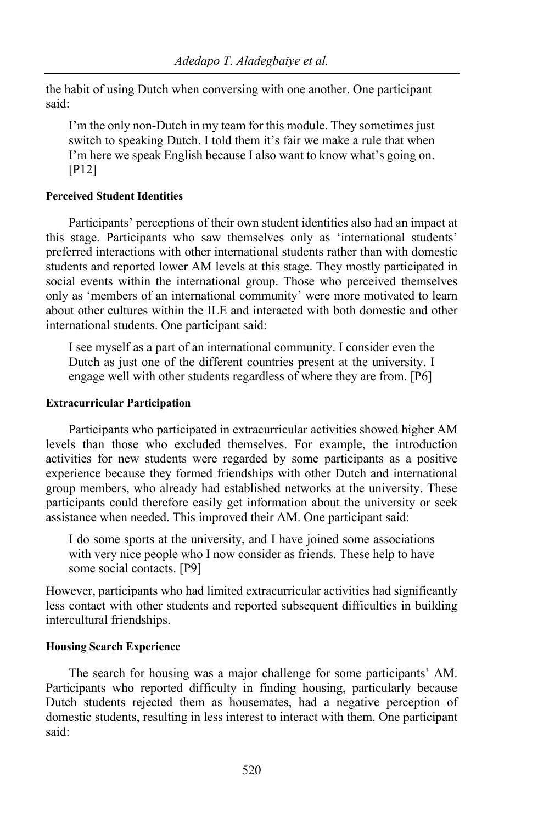the habit of using Dutch when conversing with one another. One participant said:

I'm the only non-Dutch in my team for this module. They sometimes just switch to speaking Dutch. I told them it's fair we make a rule that when I'm here we speak English because I also want to know what's going on. [P12]

## **Perceived Student Identities**

Participants' perceptions of their own student identities also had an impact at this stage. Participants who saw themselves only as 'international students' preferred interactions with other international students rather than with domestic students and reported lower AM levels at this stage. They mostly participated in social events within the international group. Those who perceived themselves only as 'members of an international community' were more motivated to learn about other cultures within the ILE and interacted with both domestic and other international students. One participant said:

I see myself as a part of an international community. I consider even the Dutch as just one of the different countries present at the university. I engage well with other students regardless of where they are from. [P6]

## **Extracurricular Participation**

Participants who participated in extracurricular activities showed higher AM levels than those who excluded themselves. For example, the introduction activities for new students were regarded by some participants as a positive experience because they formed friendships with other Dutch and international group members, who already had established networks at the university. These participants could therefore easily get information about the university or seek assistance when needed. This improved their AM. One participant said:

I do some sports at the university, and I have joined some associations with very nice people who I now consider as friends. These help to have some social contacts. [P9]

However, participants who had limited extracurricular activities had significantly less contact with other students and reported subsequent difficulties in building intercultural friendships.

## **Housing Search Experience**

The search for housing was a major challenge for some participants' AM. Participants who reported difficulty in finding housing, particularly because Dutch students rejected them as housemates, had a negative perception of domestic students, resulting in less interest to interact with them. One participant said: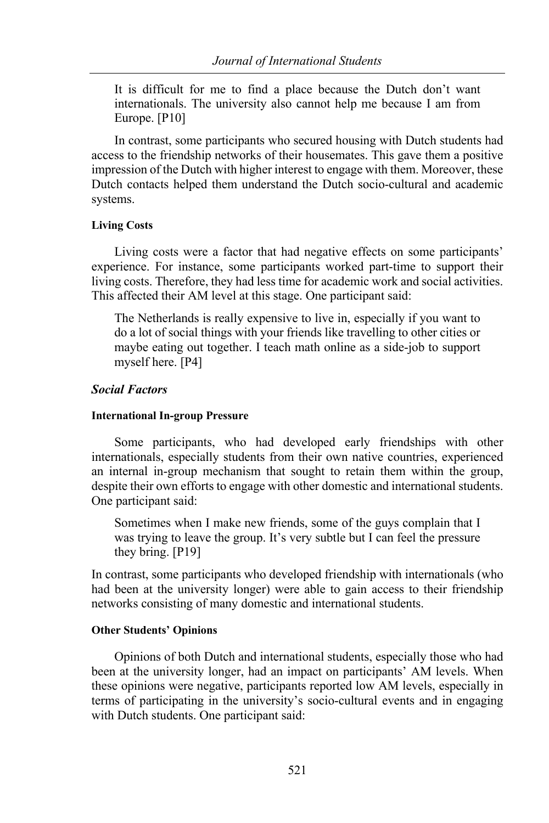It is difficult for me to find a place because the Dutch don't want internationals. The university also cannot help me because I am from Europe. [P10]

In contrast, some participants who secured housing with Dutch students had access to the friendship networks of their housemates. This gave them a positive impression of the Dutch with higher interest to engage with them. Moreover, these Dutch contacts helped them understand the Dutch socio-cultural and academic systems.

## **Living Costs**

Living costs were a factor that had negative effects on some participants' experience. For instance, some participants worked part-time to support their living costs. Therefore, they had less time for academic work and social activities. This affected their AM level at this stage. One participant said:

The Netherlands is really expensive to live in, especially if you want to do a lot of social things with your friends like travelling to other cities or maybe eating out together. I teach math online as a side-job to support myself here. [P4]

## *Social Factors*

#### **International In-group Pressure**

Some participants, who had developed early friendships with other internationals, especially students from their own native countries, experienced an internal in-group mechanism that sought to retain them within the group, despite their own efforts to engage with other domestic and international students. One participant said:

Sometimes when I make new friends, some of the guys complain that I was trying to leave the group. It's very subtle but I can feel the pressure they bring. [P19]

In contrast, some participants who developed friendship with internationals (who had been at the university longer) were able to gain access to their friendship networks consisting of many domestic and international students.

#### **Other Students' Opinions**

Opinions of both Dutch and international students, especially those who had been at the university longer, had an impact on participants' AM levels. When these opinions were negative, participants reported low AM levels, especially in terms of participating in the university's socio-cultural events and in engaging with Dutch students. One participant said: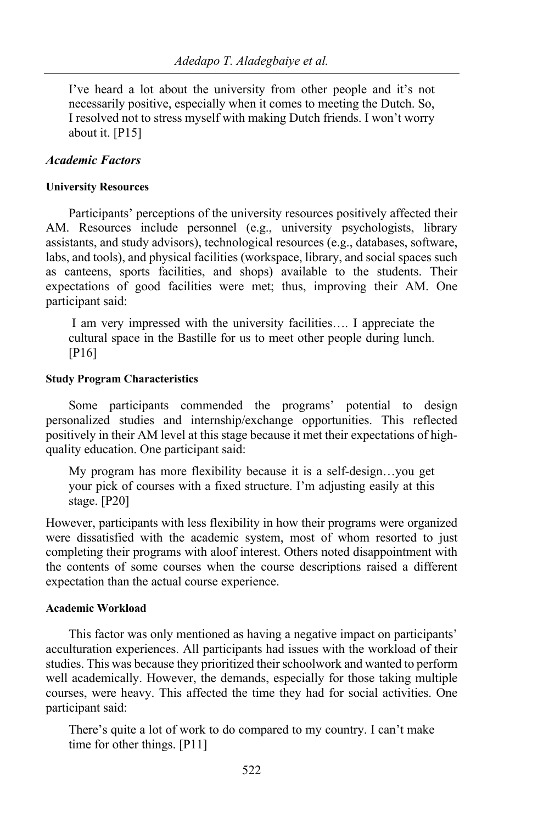I've heard a lot about the university from other people and it's not necessarily positive, especially when it comes to meeting the Dutch. So, I resolved not to stress myself with making Dutch friends. I won't worry about it. [P15]

## *Academic Factors*

#### **University Resources**

Participants' perceptions of the university resources positively affected their AM. Resources include personnel (e.g., university psychologists, library assistants, and study advisors), technological resources (e.g., databases, software, labs, and tools), and physical facilities (workspace, library, and social spaces such as canteens, sports facilities, and shops) available to the students. Their expectations of good facilities were met; thus, improving their AM. One participant said:

I am very impressed with the university facilities…. I appreciate the cultural space in the Bastille for us to meet other people during lunch. [P16]

#### **Study Program Characteristics**

Some participants commended the programs' potential to design personalized studies and internship/exchange opportunities. This reflected positively in their AM level at this stage because it met their expectations of highquality education. One participant said:

My program has more flexibility because it is a self-design…you get your pick of courses with a fixed structure. I'm adjusting easily at this stage. [P20]

However, participants with less flexibility in how their programs were organized were dissatisfied with the academic system, most of whom resorted to just completing their programs with aloof interest. Others noted disappointment with the contents of some courses when the course descriptions raised a different expectation than the actual course experience.

## **Academic Workload**

This factor was only mentioned as having a negative impact on participants' acculturation experiences. All participants had issues with the workload of their studies. This was because they prioritized their schoolwork and wanted to perform well academically. However, the demands, especially for those taking multiple courses, were heavy. This affected the time they had for social activities. One participant said:

There's quite a lot of work to do compared to my country. I can't make time for other things. [P11]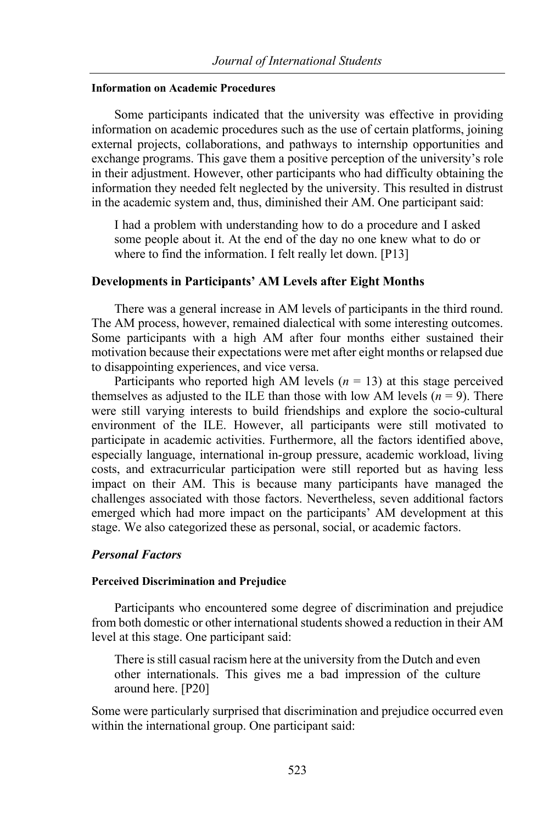## **Information on Academic Procedures**

Some participants indicated that the university was effective in providing information on academic procedures such as the use of certain platforms, joining external projects, collaborations, and pathways to internship opportunities and exchange programs. This gave them a positive perception of the university's role in their adjustment. However, other participants who had difficulty obtaining the information they needed felt neglected by the university. This resulted in distrust in the academic system and, thus, diminished their AM. One participant said:

I had a problem with understanding how to do a procedure and I asked some people about it. At the end of the day no one knew what to do or where to find the information. I felt really let down. [P13]

## **Developments in Participants' AM Levels after Eight Months**

There was a general increase in AM levels of participants in the third round. The AM process, however, remained dialectical with some interesting outcomes. Some participants with a high AM after four months either sustained their motivation because their expectations were met after eight months or relapsed due to disappointing experiences, and vice versa.

Participants who reported high AM levels  $(n = 13)$  at this stage perceived themselves as adjusted to the ILE than those with low AM levels  $(n = 9)$ . There were still varying interests to build friendships and explore the socio-cultural environment of the ILE. However, all participants were still motivated to participate in academic activities. Furthermore, all the factors identified above, especially language, international in-group pressure, academic workload, living costs, and extracurricular participation were still reported but as having less impact on their AM. This is because many participants have managed the challenges associated with those factors. Nevertheless, seven additional factors emerged which had more impact on the participants' AM development at this stage. We also categorized these as personal, social, or academic factors.

## *Personal Factors*

## **Perceived Discrimination and Prejudice**

Participants who encountered some degree of discrimination and prejudice from both domestic or other international students showed a reduction in their AM level at this stage. One participant said:

There is still casual racism here at the university from the Dutch and even other internationals. This gives me a bad impression of the culture around here. [P20]

Some were particularly surprised that discrimination and prejudice occurred even within the international group. One participant said: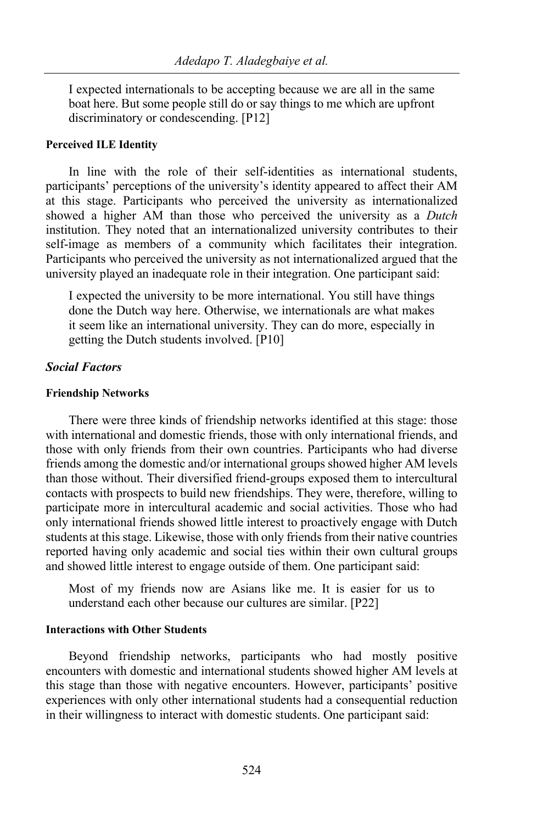I expected internationals to be accepting because we are all in the same boat here. But some people still do or say things to me which are upfront discriminatory or condescending. [P12]

#### **Perceived ILE Identity**

In line with the role of their self-identities as international students, participants' perceptions of the university's identity appeared to affect their AM at this stage. Participants who perceived the university as internationalized showed a higher AM than those who perceived the university as a *Dutch* institution. They noted that an internationalized university contributes to their self-image as members of a community which facilitates their integration. Participants who perceived the university as not internationalized argued that the university played an inadequate role in their integration. One participant said:

I expected the university to be more international. You still have things done the Dutch way here. Otherwise, we internationals are what makes it seem like an international university. They can do more, especially in getting the Dutch students involved. [P10]

## *Social Factors*

#### **Friendship Networks**

There were three kinds of friendship networks identified at this stage: those with international and domestic friends, those with only international friends, and those with only friends from their own countries. Participants who had diverse friends among the domestic and/or international groups showed higher AM levels than those without. Their diversified friend-groups exposed them to intercultural contacts with prospects to build new friendships. They were, therefore, willing to participate more in intercultural academic and social activities. Those who had only international friends showed little interest to proactively engage with Dutch students at this stage. Likewise, those with only friends from their native countries reported having only academic and social ties within their own cultural groups and showed little interest to engage outside of them. One participant said:

Most of my friends now are Asians like me. It is easier for us to understand each other because our cultures are similar. [P22]

## **Interactions with Other Students**

Beyond friendship networks, participants who had mostly positive encounters with domestic and international students showed higher AM levels at this stage than those with negative encounters. However, participants' positive experiences with only other international students had a consequential reduction in their willingness to interact with domestic students. One participant said: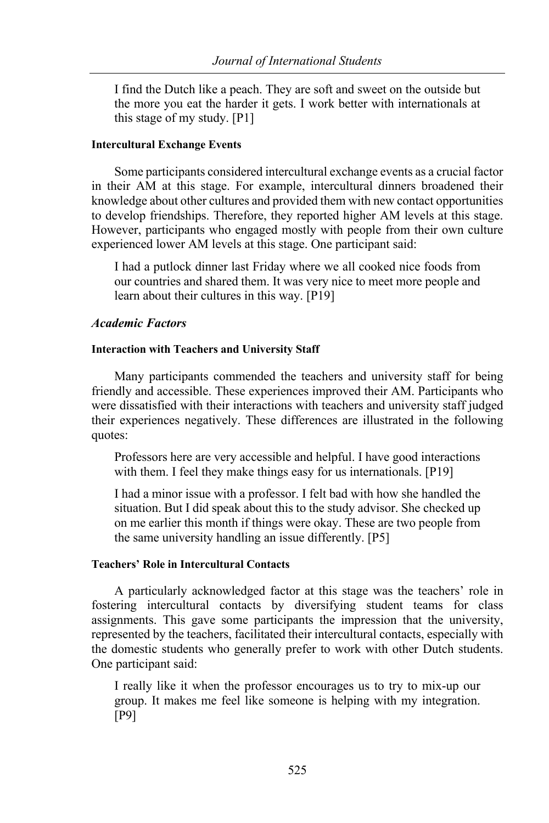I find the Dutch like a peach. They are soft and sweet on the outside but the more you eat the harder it gets. I work better with internationals at this stage of my study. [P1]

#### **Intercultural Exchange Events**

Some participants considered intercultural exchange events as a crucial factor in their AM at this stage. For example, intercultural dinners broadened their knowledge about other cultures and provided them with new contact opportunities to develop friendships. Therefore, they reported higher AM levels at this stage. However, participants who engaged mostly with people from their own culture experienced lower AM levels at this stage. One participant said:

I had a putlock dinner last Friday where we all cooked nice foods from our countries and shared them. It was very nice to meet more people and learn about their cultures in this way. [P19]

## *Academic Factors*

## **Interaction with Teachers and University Staff**

Many participants commended the teachers and university staff for being friendly and accessible. These experiences improved their AM. Participants who were dissatisfied with their interactions with teachers and university staff judged their experiences negatively. These differences are illustrated in the following quotes:

Professors here are very accessible and helpful. I have good interactions with them. I feel they make things easy for us internationals. [P19]

I had a minor issue with a professor. I felt bad with how she handled the situation. But I did speak about this to the study advisor. She checked up on me earlier this month if things were okay. These are two people from the same university handling an issue differently. [P5]

## **Teachers' Role in Intercultural Contacts**

A particularly acknowledged factor at this stage was the teachers' role in fostering intercultural contacts by diversifying student teams for class assignments. This gave some participants the impression that the university, represented by the teachers, facilitated their intercultural contacts, especially with the domestic students who generally prefer to work with other Dutch students. One participant said:

I really like it when the professor encourages us to try to mix-up our group. It makes me feel like someone is helping with my integration. [P9]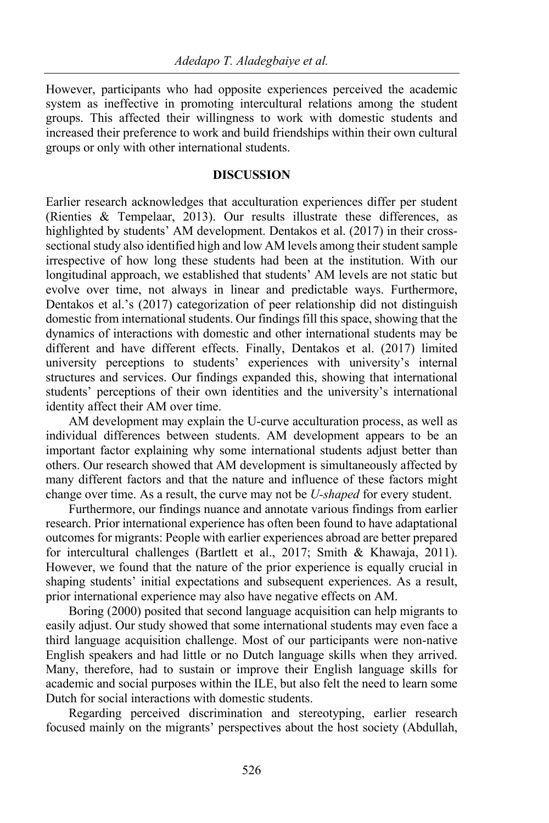However, participants who had opposite experiences perceived the academic system as ineffective in promoting intercultural relations among the student groups. This affected their willingness to work with domestic students and increased their preference to work and build friendships within their own cultural groups or only with other international students.

## **DISCUSSION**

Earlier research acknowledges that acculturation experiences differ per student (Rienties & Tempelaar, 2013). Our results illustrate these differences, as highlighted by students' AM development. Dentakos et al. (2017) in their crosssectional study also identified high and low AM levels among their student sample irrespective of how long these students had been at the institution. With our longitudinal approach, we established that students' AM levels are not static but evolve over time, not always in linear and predictable ways. Furthermore, Dentakos et al.'s (2017) categorization of peer relationship did not distinguish domestic from international students. Our findings fill this space, showing that the dynamics of interactions with domestic and other international students may be different and have different effects. Finally, Dentakos et al. (2017) limited university perceptions to students' experiences with university's internal structures and services. Our findings expanded this, showing that international students' perceptions of their own identities and the university's international identity affect their AM over time.

AM development may explain the U-curve acculturation process, as well as individual differences between students. AM development appears to be an important factor explaining why some international students adjust better than others. Our research showed that AM development is simultaneously affected by many different factors and that the nature and influence of these factors might change over time. As a result, the curve may not be *U-shaped* for every student.

Furthermore, our findings nuance and annotate various findings from earlier research. Prior international experience has often been found to have adaptational outcomes for migrants: People with earlier experiences abroad are better prepared for intercultural challenges (Bartlett et al., 2017; Smith & Khawaja, 2011). However, we found that the nature of the prior experience is equally crucial in shaping students' initial expectations and subsequent experiences. As a result, prior international experience may also have negative effects on AM.

Boring (2000) posited that second language acquisition can help migrants to easily adjust. Our study showed that some international students may even face a third language acquisition challenge. Most of our participants were non-native English speakers and had little or no Dutch language skills when they arrived. Many, therefore, had to sustain or improve their English language skills for academic and social purposes within the ILE, but also felt the need to learn some Dutch for social interactions with domestic students.

Regarding perceived discrimination and stereotyping, earlier research focused mainly on the migrants' perspectives about the host society (Abdullah,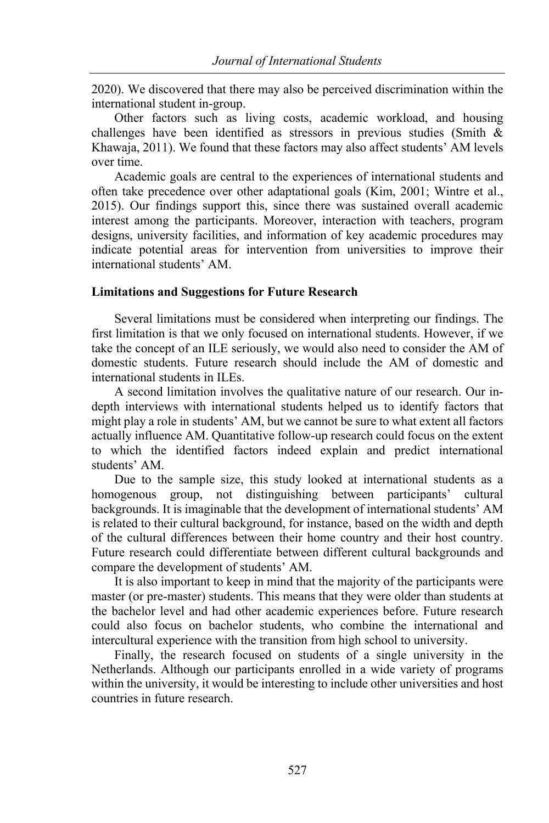2020). We discovered that there may also be perceived discrimination within the international student in-group.

Other factors such as living costs, academic workload, and housing challenges have been identified as stressors in previous studies (Smith & Khawaja, 2011). We found that these factors may also affect students' AM levels over time.

Academic goals are central to the experiences of international students and often take precedence over other adaptational goals (Kim, 2001; Wintre et al., 2015). Our findings support this, since there was sustained overall academic interest among the participants. Moreover, interaction with teachers, program designs, university facilities, and information of key academic procedures may indicate potential areas for intervention from universities to improve their international students' AM.

## **Limitations and Suggestions for Future Research**

Several limitations must be considered when interpreting our findings. The first limitation is that we only focused on international students. However, if we take the concept of an ILE seriously, we would also need to consider the AM of domestic students. Future research should include the AM of domestic and international students in ILEs.

A second limitation involves the qualitative nature of our research. Our indepth interviews with international students helped us to identify factors that might play a role in students' AM, but we cannot be sure to what extent all factors actually influence AM. Quantitative follow-up research could focus on the extent to which the identified factors indeed explain and predict international students' AM.

Due to the sample size, this study looked at international students as a homogenous group, not distinguishing between participants' cultural backgrounds. It is imaginable that the development of international students' AM is related to their cultural background, for instance, based on the width and depth of the cultural differences between their home country and their host country. Future research could differentiate between different cultural backgrounds and compare the development of students' AM.

It is also important to keep in mind that the majority of the participants were master (or pre-master) students. This means that they were older than students at the bachelor level and had other academic experiences before. Future research could also focus on bachelor students, who combine the international and intercultural experience with the transition from high school to university.

Finally, the research focused on students of a single university in the Netherlands. Although our participants enrolled in a wide variety of programs within the university, it would be interesting to include other universities and host countries in future research.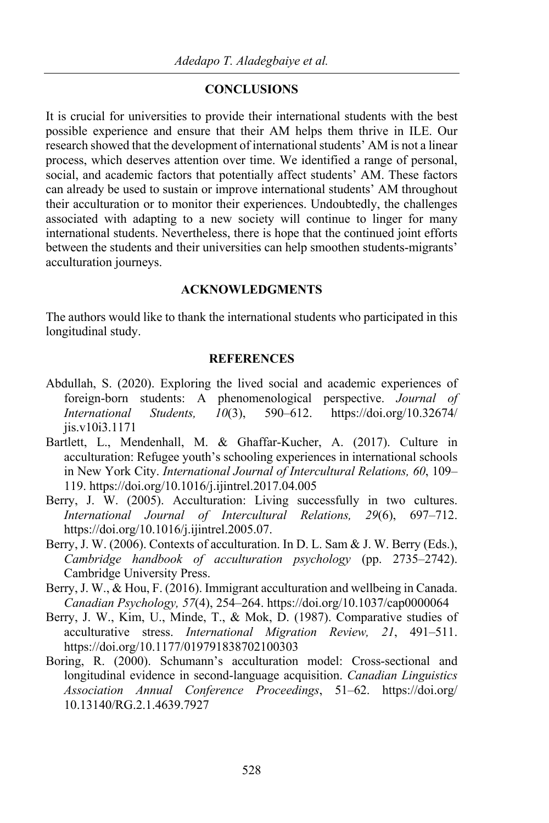## **CONCLUSIONS**

It is crucial for universities to provide their international students with the best possible experience and ensure that their AM helps them thrive in ILE. Our research showed that the development of international students' AM is not a linear process, which deserves attention over time. We identified a range of personal, social, and academic factors that potentially affect students' AM. These factors can already be used to sustain or improve international students' AM throughout their acculturation or to monitor their experiences. Undoubtedly, the challenges associated with adapting to a new society will continue to linger for many international students. Nevertheless, there is hope that the continued joint efforts between the students and their universities can help smoothen students-migrants' acculturation journeys.

## **ACKNOWLEDGMENTS**

The authors would like to thank the international students who participated in this longitudinal study.

## **REFERENCES**

- Abdullah, S. (2020). Exploring the lived social and academic experiences of foreign-born students: A phenomenological perspective. *Journal of International Students, 10*(3), 590–612. https://doi.org/10.32674/ jis.v10i3.1171
- Bartlett, L., Mendenhall, M. & Ghaffar-Kucher, A. (2017). Culture in acculturation: Refugee youth's schooling experiences in international schools in New York City. *International Journal of Intercultural Relations, 60*, 109– 119. https://doi.org/10.1016/j.ijintrel.2017.04.005
- Berry, J. W. (2005). Acculturation: Living successfully in two cultures. *International Journal of Intercultural Relations, 29*(6), 697–712. https://doi.org/10.1016/j.ijintrel.2005.07.
- Berry, J. W. (2006). Contexts of acculturation. In D. L. Sam & J. W. Berry (Eds.), *Cambridge handbook of acculturation psychology* (pp. 2735–2742). Cambridge University Press.
- Berry, J. W., & Hou, F. (2016). Immigrant acculturation and wellbeing in Canada. *Canadian Psychology, 57*(4), 254–264. https://doi.org/10.1037/cap0000064
- Berry, J. W., Kim, U., Minde, T., & Mok, D. (1987). Comparative studies of acculturative stress. *International Migration Review, 21*, 491–511. https://doi.org/10.1177/019791838702100303
- Boring, R. (2000). Schumann's acculturation model: Cross-sectional and longitudinal evidence in second-language acquisition. *Canadian Linguistics Association Annual Conference Proceedings*, 51–62. https://doi.org/ 10.13140/RG.2.1.4639.7927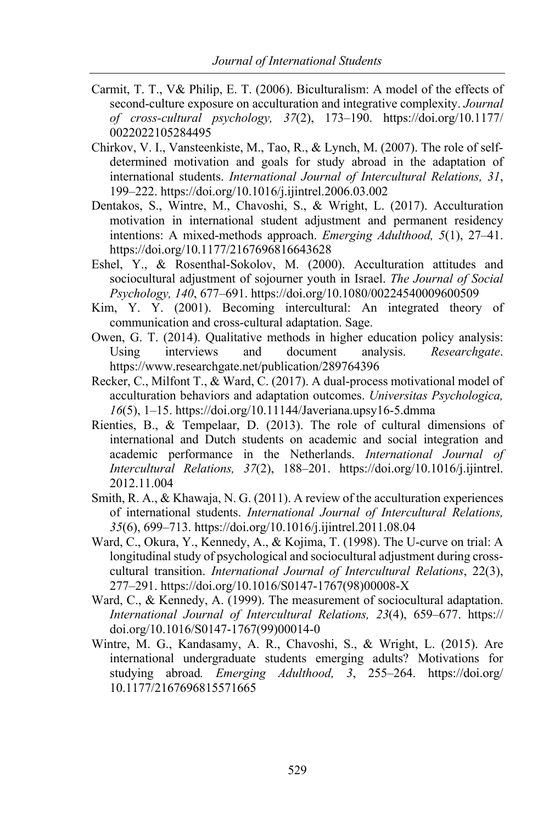- Carmit, T. T., V& Philip, E. T. (2006). Biculturalism: A model of the effects of second-culture exposure on acculturation and integrative complexity. *Journal of cross-cultural psychology, 37*(2), 173–190. https://doi.org/10.1177/ 0022022105284495
- Chirkov, V. I., Vansteenkiste, M., Tao, R., & Lynch, M. (2007). The role of selfdetermined motivation and goals for study abroad in the adaptation of international students. *International Journal of Intercultural Relations, 31*, 199–222. https://doi.org/10.1016/j.ijintrel.2006.03.002
- Dentakos, S., Wintre, M., Chavoshi, S., & Wright, L. (2017). Acculturation motivation in international student adjustment and permanent residency intentions: A mixed-methods approach. *Emerging Adulthood, 5*(1), 27–41. https://doi.org/10.1177/2167696816643628
- Eshel, Y., & Rosenthal-Sokolov, M. (2000). Acculturation attitudes and sociocultural adjustment of sojourner youth in Israel. *The Journal of Social Psychology, 140*, 677–691. https://doi.org/10.1080/00224540009600509
- Kim, Y. Y. (2001). Becoming intercultural: An integrated theory of communication and cross-cultural adaptation. Sage.
- Owen, G. T. (2014). Qualitative methods in higher education policy analysis: Using interviews and document analysis. *Researchgate*. https://www.researchgate.net/publication/289764396
- Recker, C., Milfont T., & Ward, C. (2017). A dual-process motivational model of acculturation behaviors and adaptation outcomes. *Universitas Psychologica, 16*(5), 1–15. https://doi.org/10.11144/Javeriana.upsy16-5.dmma
- Rienties, B., & Tempelaar, D. (2013). The role of cultural dimensions of international and Dutch students on academic and social integration and academic performance in the Netherlands. *International Journal of Intercultural Relations, 37*(2), 188–201. https://doi.org/10.1016/j.ijintrel. 2012.11.004
- Smith, R. A., & Khawaja, N. G. (2011). A review of the acculturation experiences of international students. *International Journal of Intercultural Relations, 35*(6), 699–713. https://doi.org/10.1016/j.ijintrel.2011.08.04
- Ward, C., Okura, Y., Kennedy, A., & Kojima, T. (1998). The U-curve on trial: A longitudinal study of psychological and sociocultural adjustment during crosscultural transition. *International Journal of Intercultural Relations*, 22(3), 277–291. https://doi.org/10.1016/S0147-1767(98)00008-X
- Ward, C., & Kennedy, A. (1999). The measurement of sociocultural adaptation. *International Journal of Intercultural Relations, 23*(4), 659–677. https:// doi.org/10.1016/S0147-1767(99)00014-0
- Wintre, M. G., Kandasamy, A. R., Chavoshi, S., & Wright, L. (2015). Are international undergraduate students emerging adults? Motivations for studying abroad*. Emerging Adulthood, 3*, 255–264. https://doi.org/ 10.1177/2167696815571665